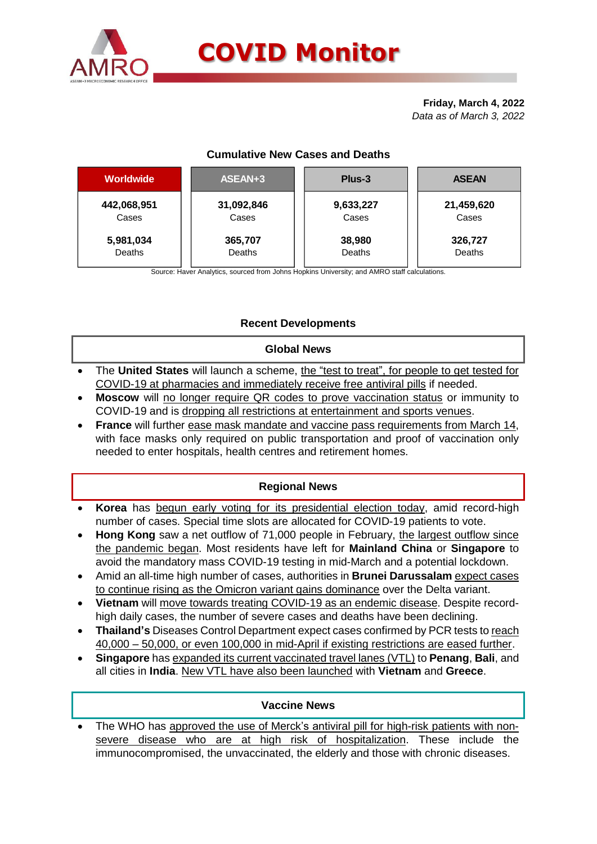

#### **Friday, March 4, 2022** *Data as of March 3, 2022*

# **Cumulative New Cases and Deaths**

| <b>Worldwide</b> | ASEAN+3    | Plus-3    | <b>ASEAN</b> |  |  |
|------------------|------------|-----------|--------------|--|--|
| 442,068,951      | 31,092,846 | 9,633,227 | 21,459,620   |  |  |
| Cases            | Cases      | Cases     | Cases        |  |  |
| 5,981,034        | 365,707    | 38,980    | 326,727      |  |  |
| Deaths           | Deaths     | Deaths    | Deaths       |  |  |

Source: Haver Analytics, sourced from Johns Hopkins University; and AMRO staff calculations.

# **Recent Developments**

#### **Global News**

- The **United States** will launch a scheme, the "test to treat", for people to get tested for COVID-19 at pharmacies and immediately receive free antiviral pills if needed.
- **Moscow** will no longer require QR codes to prove vaccination status or immunity to COVID-19 and is dropping all restrictions at entertainment and sports venues.
- **France** will further ease mask mandate and vaccine pass requirements from March 14, with face masks only required on public transportation and proof of vaccination only needed to enter hospitals, health centres and retirement homes.

# **Regional News**

- **Korea** has begun early voting for its presidential election today, amid record-high number of cases. Special time slots are allocated for COVID-19 patients to vote.
- **Hong Kong** saw a net outflow of 71,000 people in February, the largest outflow since the pandemic began. Most residents have left for **Mainland China** or **Singapore** to avoid the mandatory mass COVID-19 testing in mid-March and a potential lockdown.
- Amid an all-time high number of cases, authorities in **Brunei Darussalam** expect cases to continue rising as the Omicron variant gains dominance over the Delta variant.
- **Vietnam** will move towards treating COVID-19 as an endemic disease. Despite recordhigh daily cases, the number of severe cases and deaths have been declining.
- **Thailand's** Diseases Control Department expect cases confirmed by PCR tests to reach 40,000 – 50,000, or even 100,000 in mid-April if existing restrictions are eased further.
- **Singapore** has expanded its current vaccinated travel lanes (VTL) to **Penang**, **Bali**, and all cities in **India**. New VTL have also been launched with **Vietnam** and **Greece**.

## **Vaccine News**

 The WHO has approved the use of Merck's antiviral pill for high-risk patients with nonsevere disease who are at high risk of hospitalization. These include the immunocompromised, the unvaccinated, the elderly and those with chronic diseases.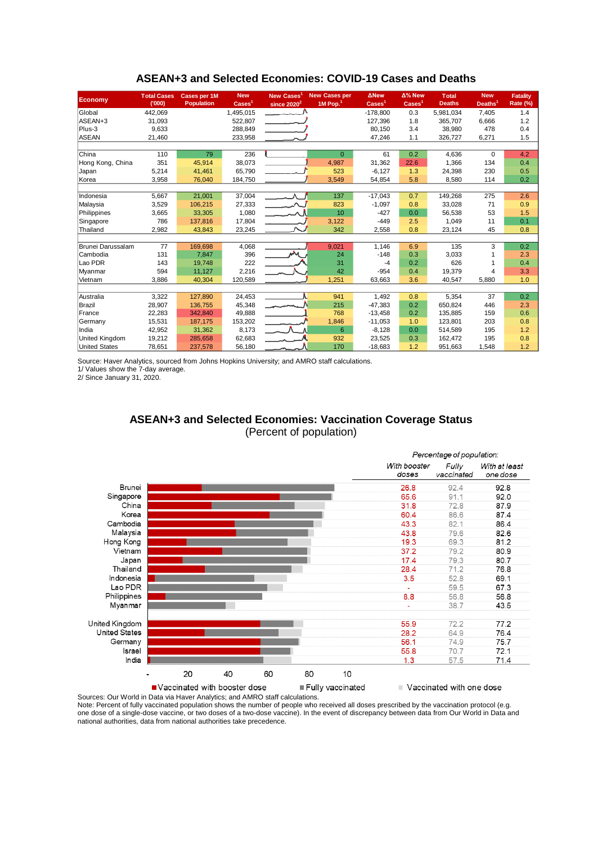| Economy                  | <b>Total Cases</b><br>(000) | <b>Cases per 1M</b><br><b>Population</b> | <b>New</b><br>$\text{Case}$ <sup>1</sup> | <b>New Cases</b><br>since 2020 <sup>2</sup> | <b>New Cases per</b><br>$1M$ Pop. $1$ | <b>ANew</b><br>$\text{Case}$ <sup>1</sup> | Δ% New<br>$\text{Case}$ | <b>T</b> otal<br><b>Deaths</b> | <b>New</b><br>Deaths <sup>1</sup> | <b>Fatality</b><br>Rate (%) |
|--------------------------|-----------------------------|------------------------------------------|------------------------------------------|---------------------------------------------|---------------------------------------|-------------------------------------------|-------------------------|--------------------------------|-----------------------------------|-----------------------------|
| Global                   | 442,069                     |                                          | 1,495,015                                |                                             |                                       | $-178,800$                                | 0.3                     | 5,981,034                      | 7,405                             | 1.4                         |
| ASEAN+3                  | 31,093                      |                                          | 522,807                                  |                                             |                                       | 127,396                                   | 1.8                     | 365,707                        | 6,666                             | 1.2                         |
| Plus-3                   | 9,633                       |                                          | 288,849                                  |                                             |                                       | 80,150                                    | 3.4                     | 38,980                         | 478                               | 0.4                         |
| <b>ASEAN</b>             | 21,460                      |                                          | 233,958                                  |                                             |                                       | 47,246                                    | 1.1                     | 326,727                        | 6,271                             | 1.5                         |
|                          |                             |                                          |                                          |                                             |                                       |                                           |                         |                                |                                   |                             |
| China                    | 110                         | 79                                       | 236                                      |                                             | $\Omega$                              | 61                                        | 0.2                     | 4,636                          | 0                                 | 4.2                         |
| Hong Kong, China         | 351                         | 45,914                                   | 38,073                                   |                                             | 4,987                                 | 31,362                                    | 22.6                    | 1,366                          | 134                               | 0.4                         |
| Japan                    | 5.214                       | 41.461                                   | 65.790                                   |                                             | 523                                   | $-6.127$                                  | 1.3                     | 24.398                         | 230                               | 0.5                         |
| Korea                    | 3.958                       | 76.040                                   | 184,750                                  |                                             | 3.549                                 | 54,854                                    | 5.8                     | 8,580                          | 114                               | 0.2                         |
|                          |                             |                                          |                                          |                                             |                                       |                                           |                         |                                |                                   |                             |
| Indonesia                | 5,667                       | 21,001                                   | 37,004                                   |                                             | 137                                   | $-17,043$                                 | 0.7                     | 149,268                        | 275                               | 2.6                         |
| Malaysia                 | 3,529                       | 106,215                                  | 27,333                                   |                                             | 823                                   | $-1,097$                                  | 0.8                     | 33,028                         | 71                                | 0.9                         |
| Philippines              | 3,665                       | 33,305                                   | 1,080                                    | المست                                       | 10                                    | $-427$                                    | 0.0                     | 56,538                         | 53                                | 1.5                         |
| Singapore                | 786                         | 137,816                                  | 17,804                                   |                                             | 3,122                                 | $-449$                                    | 2.5                     | 1,049                          | 11                                | 0.1                         |
| Thailand                 | 2,982                       | 43.843                                   | 23,245                                   |                                             | 342                                   | 2,558                                     | 0.8                     | 23,124                         | 45                                | 0.8                         |
|                          |                             |                                          |                                          |                                             |                                       |                                           |                         |                                |                                   |                             |
| <b>Brunei Darussalam</b> | 77                          | 169.698                                  | 4,068                                    |                                             | 9,021                                 | 1.146                                     | 6.9                     | 135                            | 3                                 | 0.2                         |
| Cambodia                 | 131                         | 7,847                                    | 396                                      | ᄊ                                           | 24                                    | $-148$                                    | 0.3                     | 3,033                          |                                   | 2.3                         |
| Lao PDR                  | 143                         | 19,748                                   | 222                                      |                                             | 31                                    | $-4$                                      | 0.2                     | 626                            |                                   | 0.4                         |
| Myanmar                  | 594                         | 11.127                                   | 2,216                                    |                                             | 42                                    | $-954$                                    | 0.4                     | 19.379                         | $\overline{4}$                    | 3.3                         |
| Vietnam                  | 3,886                       | 40,304                                   | 120,589                                  |                                             | 1,251                                 | 63,663                                    | 3.6                     | 40,547                         | 5,880                             | 1.0                         |
|                          |                             |                                          |                                          |                                             |                                       |                                           |                         |                                |                                   |                             |
| Australia                | 3,322                       | 127,890                                  | 24,453                                   |                                             | 941                                   | 1,492                                     | 0.8                     | 5,354                          | 37                                | 0.2                         |
| Brazil                   | 28,907                      | 136,755                                  | 45,348                                   |                                             | 215                                   | $-47,383$                                 | 0.2                     | 650,824                        | 446                               | 2.3                         |
| France                   | 22,283                      | 342,840                                  | 49,888                                   |                                             | 768                                   | $-13,458$                                 | 0.2                     | 135,885                        | 159                               | 0.6                         |
| Germany                  | 15,531                      | 187.175                                  | 153,202                                  |                                             | 1,846                                 | $-11,053$                                 | 1.0                     | 123.801                        | 203                               | 0.8                         |
| India                    | 42,952                      | 31,362                                   | 8,173                                    |                                             | 6                                     | $-8,128$                                  | 0.0                     | 514,589                        | 195                               | 1.2                         |
| <b>United Kingdom</b>    | 19,212                      | 285.658                                  | 62,683                                   |                                             | 932                                   | 23,525                                    | 0.3                     | 162.472                        | 195                               | 0.8                         |
| <b>United States</b>     | 78,651                      | 237,578                                  | 56,180                                   |                                             | 170                                   | $-18,683$                                 | 1.2                     | 951,663                        | 1,548                             | 1.2                         |

#### **ASEAN+3 and Selected Economies: COVID-19 Cases and Deaths**

Source: Haver Analytics, sourced from Johns Hopkins University; and AMRO staff calculations.

1/ Values show the 7-day average.

2/ Since January 31, 2020.

## **ASEAN+3 and Selected Economies: Vaccination Coverage Status** (Percent of population)



Sources: Our World in Data via Haver Analytics; and AMRO staff calculations. Note: Percent of fully vaccinated population shows the number of people who received all doses prescribed by the vaccination protocol (e.g. one dose of a single-dose vaccine, or two doses of a two-dose vaccine). In the event of discrepancy between data from Our World in Data and national authorities, data from national authorities take precedence.